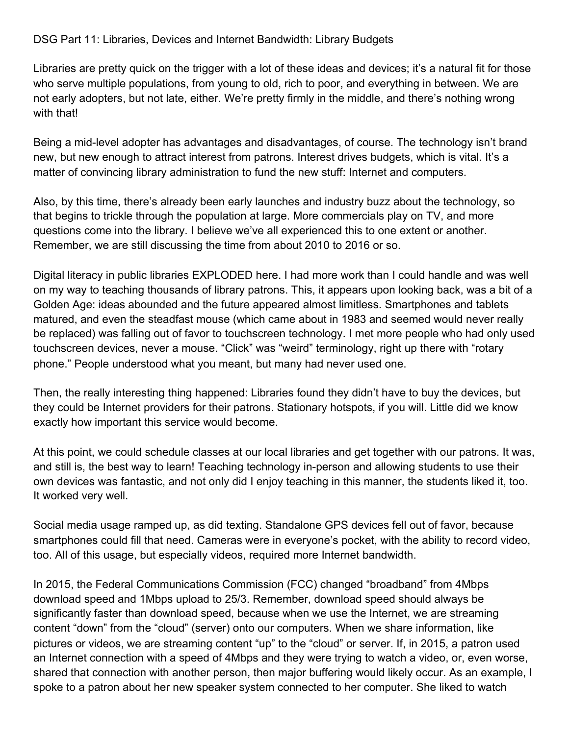## DSG Part 11: Libraries, Devices and Internet Bandwidth: Library Budgets

Libraries are pretty quick on the trigger with a lot of these ideas and devices; it's a natural fit for those who serve multiple populations, from young to old, rich to poor, and everything in between. We are not early adopters, but not late, either. We're pretty firmly in the middle, and there's nothing wrong with that!

Being a mid-level adopter has advantages and disadvantages, of course. The technology isn't brand new, but new enough to attract interest from patrons. Interest drives budgets, which is vital. It's a matter of convincing library administration to fund the new stuff: Internet and computers.

Also, by this time, there's already been early launches and industry buzz about the technology, so that begins to trickle through the population at large. More commercials play on TV, and more questions come into the library. I believe we've all experienced this to one extent or another. Remember, we are still discussing the time from about 2010 to 2016 or so.

Digital literacy in public libraries EXPLODED here. I had more work than I could handle and was well on my way to teaching thousands of library patrons. This, it appears upon looking back, was a bit of a Golden Age: ideas abounded and the future appeared almost limitless. Smartphones and tablets matured, and even the steadfast mouse (which came about in 1983 and seemed would never really be replaced) was falling out of favor to touchscreen technology. I met more people who had only used touchscreen devices, never a mouse. "Click" was "weird" terminology, right up there with "rotary phone." People understood what you meant, but many had never used one.

Then, the really interesting thing happened: Libraries found they didn't have to buy the devices, but they could be Internet providers for their patrons. Stationary hotspots, if you will. Little did we know exactly how important this service would become.

At this point, we could schedule classes at our local libraries and get together with our patrons. It was, and still is, the best way to learn! Teaching technology in-person and allowing students to use their own devices was fantastic, and not only did I enjoy teaching in this manner, the students liked it, too. It worked very well.

Social media usage ramped up, as did texting. Standalone GPS devices fell out of favor, because smartphones could fill that need. Cameras were in everyone's pocket, with the ability to record video, too. All of this usage, but especially videos, required more Internet bandwidth.

In 2015, the Federal Communications Commission (FCC) changed "broadband" from 4Mbps download speed and 1Mbps upload to 25/3. Remember, download speed should always be significantly faster than download speed, because when we use the Internet, we are streaming content "down" from the "cloud" (server) onto our computers. When we share information, like pictures or videos, we are streaming content "up" to the "cloud" or server. If, in 2015, a patron used an Internet connection with a speed of 4Mbps and they were trying to watch a video, or, even worse, shared that connection with another person, then major buffering would likely occur. As an example, I spoke to a patron about her new speaker system connected to her computer. She liked to watch